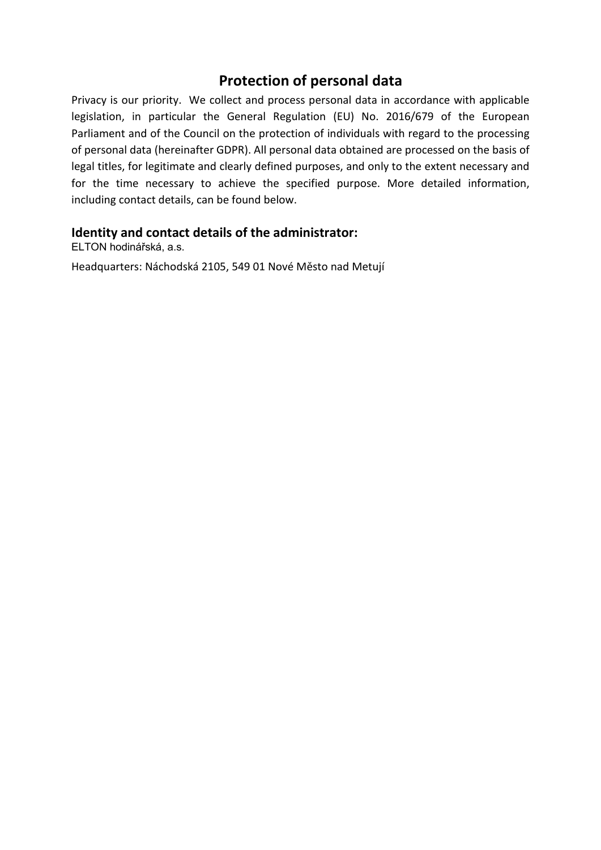# **Protection of personal data**

Privacy is our priority. We collect and process personal data in accordance with applicable legislation, in particular the General Regulation (EU) No. 2016/679 of the European Parliament and of the Council on the protection of individuals with regard to the processing of personal data (hereinafter GDPR). All personal data obtained are processed on the basis of legal titles, for legitimate and clearly defined purposes, and only to the extent necessary and for the time necessary to achieve the specified purpose. More detailed information, including contact details, can be found below.

#### **Identity and contact details of the administrator:**

ELTON hodinářská, a.s.

Headquarters: Náchodská 2105, 549 01 Nové Město nad Metují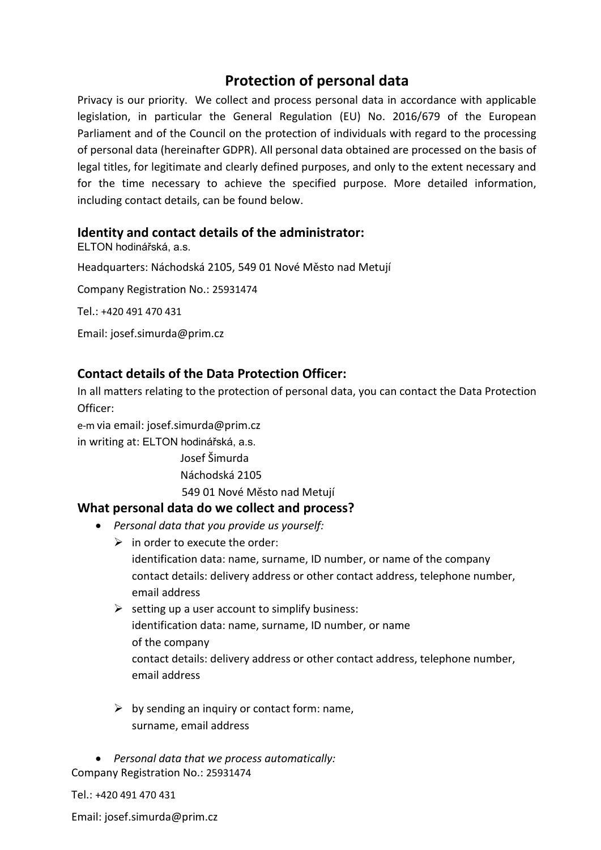# **Protection of personal data**

Privacy is our priority. We collect and process personal data in accordance with applicable legislation, in particular the General Regulation (EU) No. 2016/679 of the European Parliament and of the Council on the protection of individuals with regard to the processing of personal data (hereinafter GDPR). All personal data obtained are processed on the basis of legal titles, for legitimate and clearly defined purposes, and only to the extent necessary and for the time necessary to achieve the specified purpose. More detailed information, including contact details, can be found below.

#### **Identity and contact details of the administrator:**

ELTON hodinářská, a.s. Headquarters: Náchodská 2105, 549 01 Nové Město nad Metují Company Registration No.: 25931474 Tel.: +420 491 470 431

Email: josef.simurda@prim.cz

## **Contact details of the Data Protection Officer:**

In all matters relating to the protection of personal data, you can contact the Data Protection Officer:

e-m via email: josef.simurda@prim.cz in writing at: ELTON hodinářská, a.s.

> Josef Šimurda Náchodská 2105 549 01 Nové Město nad Metují

#### **What personal data do we collect and process?**

- *Personal data that you provide us yourself:*
	- $\triangleright$  in order to execute the order: identification data: name, surname, ID number, or name of the company contact details: delivery address or other contact address, telephone number, email address
	- $\triangleright$  setting up a user account to simplify business: identification data: name, surname, ID number, or name of the company contact details: delivery address or other contact address, telephone number, email address
	- $\triangleright$  by sending an inquiry or contact form: name, surname, email address

• *Personal data that we process automatically:* Company Registration No.: 25931474

Tel.: +420 491 470 431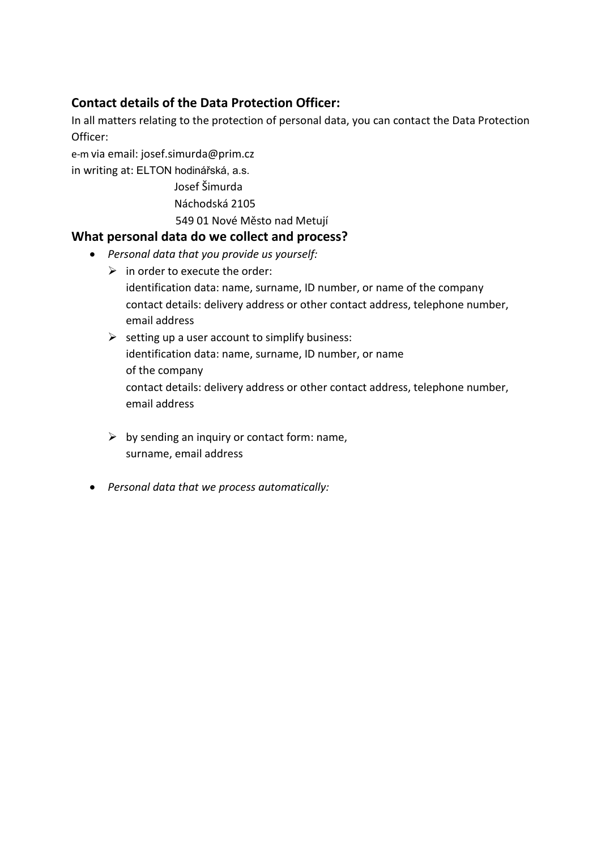# **Contact details of the Data Protection Officer:**

In all matters relating to the protection of personal data, you can contact the Data Protection Officer:

e-m via email[: josef.simurda@prim.cz](mailto:josef.simurda@prim.cz)

in writing at: ELTON hodinářská, a.s.

- Josef Šimurda
- Náchodská 2105
- 549 01 Nové Město nad Metují

## **What personal data do we collect and process?**

- *Personal data that you provide us yourself:*
	- $\triangleright$  in order to execute the order:
		- identification data: name, surname, ID number, or name of the company contact details: delivery address or other contact address, telephone number, email address
	- $\triangleright$  setting up a user account to simplify business: identification data: name, surname, ID number, or name of the company contact details: delivery address or other contact address, telephone number, email address
	- $\triangleright$  by sending an inquiry or contact form: name, surname, email address
- *Personal data that we process automatically:*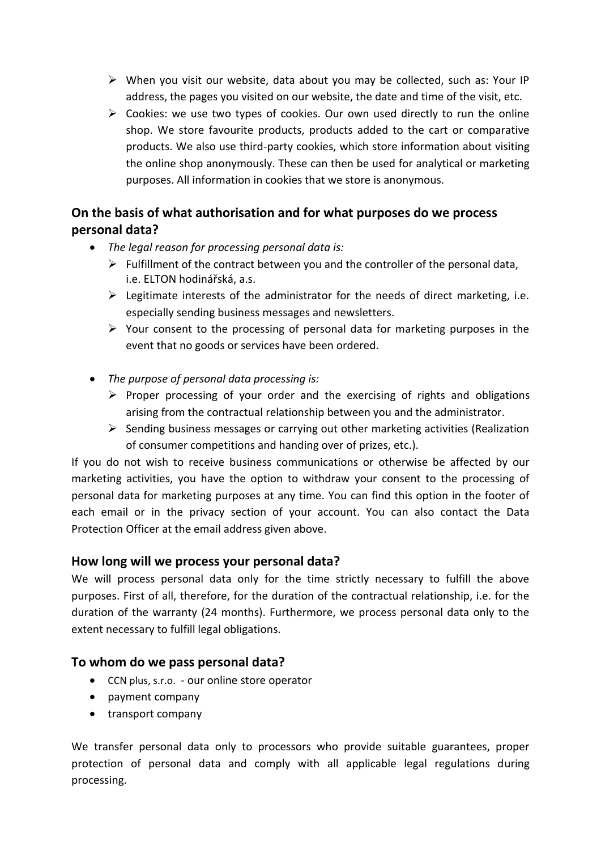- ➢ When you visit our website, data about you may be collected, such as: Your IP address, the pages you visited on our website, the date and time of the visit, etc.
- $\triangleright$  Cookies: we use two types of cookies. Our own used directly to run the online shop. We store favourite products, products added to the cart or comparative products. We also use third-party cookies, which store information about visiting the online shop anonymously. These can then be used for analytical or marketing purposes. All information in cookies that we store is anonymous.

# **On the basis of what authorisation and for what purposes do we process personal data?**

- *The legal reason for processing personal data is:*
	- $\triangleright$  Fulfillment of the contract between you and the controller of the personal data, i.e. ELTON hodinářská, a.s.
	- $\triangleright$  Legitimate interests of the administrator for the needs of direct marketing, i.e. especially sending business messages and newsletters.
	- ➢ Your consent to the processing of personal data for marketing purposes in the event that no goods or services have been ordered.
- *The purpose of personal data processing is:*
	- $\triangleright$  Proper processing of your order and the exercising of rights and obligations arising from the contractual relationship between you and the administrator.
	- ➢ Sending business messages or carrying out other marketing activities (Realization of consumer competitions and handing over of prizes, etc.).

If you do not wish to receive business communications or otherwise be affected by our marketing activities, you have the option to withdraw your consent to the processing of personal data for marketing purposes at any time. You can find this option in the footer of each email or in the privacy section of your account. You can also contact the Data Protection Officer at the email address given above.

# **How long will we process your personal data?**

We will process personal data only for the time strictly necessary to fulfill the above purposes. First of all, therefore, for the duration of the contractual relationship, i.e. for the duration of the warranty (24 months). Furthermore, we process personal data only to the extent necessary to fulfill legal obligations.

# **To whom do we pass personal data?**

- CCN plus, s.r.o. our online store operator
- payment company
- transport company

We transfer personal data only to processors who provide suitable guarantees, proper protection of personal data and comply with all applicable legal regulations during processing.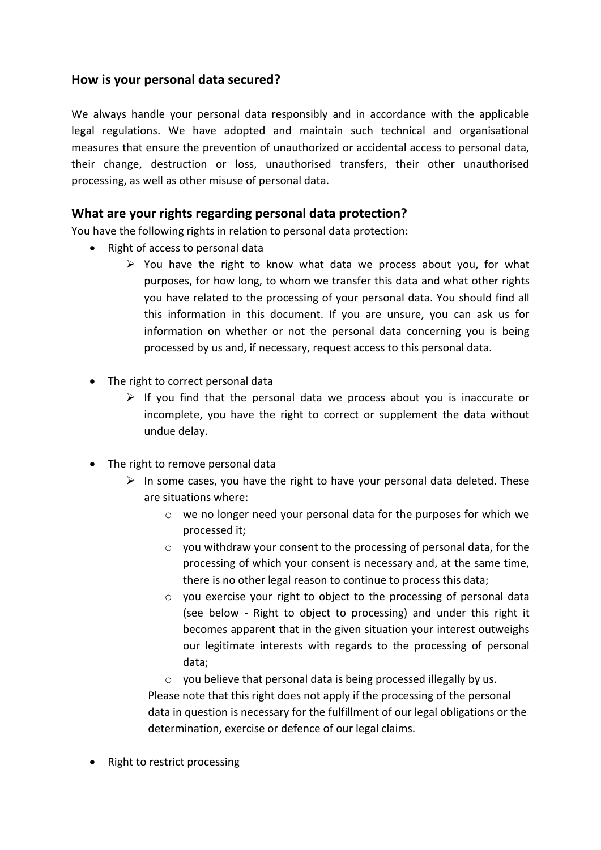### **How is your personal data secured?**

We always handle your personal data responsibly and in accordance with the applicable legal regulations. We have adopted and maintain such technical and organisational measures that ensure the prevention of unauthorized or accidental access to personal data, their change, destruction or loss, unauthorised transfers, their other unauthorised processing, as well as other misuse of personal data.

#### **What are your rights regarding personal data protection?**

You have the following rights in relation to personal data protection:

- Right of access to personal data
	- $\triangleright$  You have the right to know what data we process about you, for what purposes, for how long, to whom we transfer this data and what other rights you have related to the processing of your personal data. You should find all this information in this document. If you are unsure, you can ask us for information on whether or not the personal data concerning you is being processed by us and, if necessary, request access to this personal data.
- The right to correct personal data
	- $\triangleright$  If you find that the personal data we process about you is inaccurate or incomplete, you have the right to correct or supplement the data without undue delay.
- The right to remove personal data
	- $\triangleright$  In some cases, you have the right to have your personal data deleted. These are situations where:
		- o we no longer need your personal data for the purposes for which we processed it;
		- o you withdraw your consent to the processing of personal data, for the processing of which your consent is necessary and, at the same time, there is no other legal reason to continue to process this data;
		- o you exercise your right to object to the processing of personal data (see below - Right to object to processing) and under this right it becomes apparent that in the given situation your interest outweighs our legitimate interests with regards to the processing of personal data;
		- o you believe that personal data is being processed illegally by us.

Please note that this right does not apply if the processing of the personal data in question is necessary for the fulfillment of our legal obligations or the determination, exercise or defence of our legal claims.

• Right to restrict processing